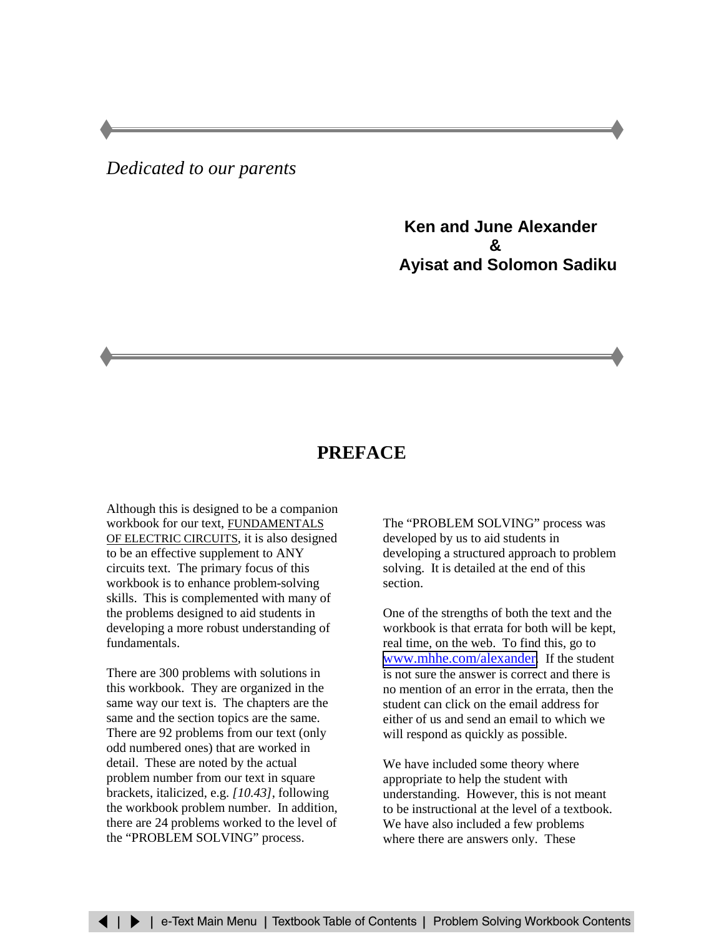## *Dedicated to our parents*

**Ken and June Alexander & Ayisat and Solomon Sadiku**

## **PREFACE**

Although this is designed to be a companion workbook for our text, FUNDAMENTALS OF ELECTRIC CIRCUITS, it is also designed to be an effective supplement to ANY circuits text. The primary focus of this workbook is to enhance problem-solving skills. This is complemented with many of the problems designed to aid students in developing a more robust understanding of fundamentals.

There are 300 problems with solutions in this workbook. They are organized in the same way our text is. The chapters are the same and the section topics are the same. There are 92 problems from our text (only odd numbered ones) that are worked in detail. These are noted by the actual problem number from our text in square brackets, italicized, e.g. *[10.43]*, following the workbook problem number. In addition, there are 24 problems worked to the level of the "PROBLEM SOLVING" process.

The "PROBLEM SOLVING" process was developed by us to aid students in developing a structured approach to problem solving. It is detailed at the end of this section.

One of the strengths of both the text and the workbook is that errata for both will be kept, real time, on the web. To find this, go to [www.mhhe.com/alexander.](http://www.mhhe.com/alexander) If the student is not sure the answer is correct and there is no mention of an error in the errata, then the student can click on the email address for either of us and send an email to which we will respond as quickly as possible.

We have included some theory where appropriate to help the student with understanding. However, this is not meant to be instructional at the level of a textbook. We have also included a few problems where there are answers only. These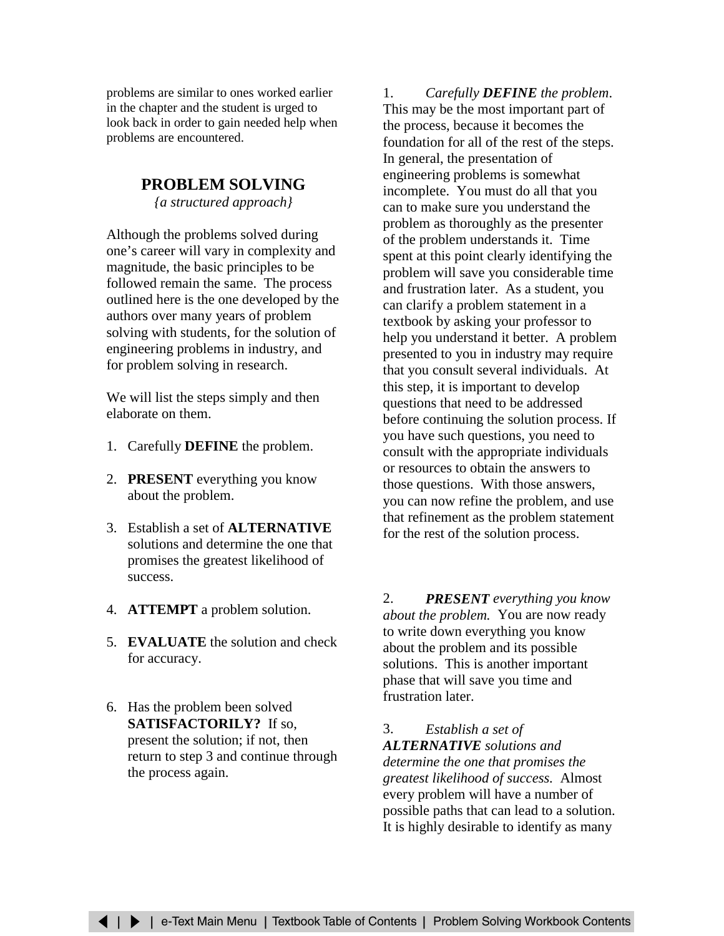problems are similar to ones worked earlier in the chapter and the student is urged to look back in order to gain needed help when problems are encountered.

## **PROBLEM SOLVING**

*{a structured approach}*

Although the problems solved during one's career will vary in complexity and magnitude, the basic principles to be followed remain the same. The process outlined here is the one developed by the authors over many years of problem solving with students, for the solution of engineering problems in industry, and for problem solving in research.

We will list the steps simply and then elaborate on them.

- 1. Carefully **DEFINE** the problem.
- 2. **PRESENT** everything you know about the problem.
- 3. Establish a set of **ALTERNATIVE** solutions and determine the one that promises the greatest likelihood of success.
- 4. **ATTEMPT** a problem solution.
- 5. **EVALUATE** the solution and check for accuracy.
- 6. Has the problem been solved **SATISFACTORILY?** If so, present the solution; if not, then return to step 3 and continue through the process again.

1. *Carefully DEFINE the problem*. This may be the most important part of the process, because it becomes the foundation for all of the rest of the steps. In general, the presentation of engineering problems is somewhat incomplete. You must do all that you can to make sure you understand the problem as thoroughly as the presenter of the problem understands it. Time spent at this point clearly identifying the problem will save you considerable time and frustration later. As a student, you can clarify a problem statement in a textbook by asking your professor to help you understand it better. A problem presented to you in industry may require that you consult several individuals. At this step, it is important to develop questions that need to be addressed before continuing the solution process. If you have such questions, you need to consult with the appropriate individuals or resources to obtain the answers to those questions. With those answers, you can now refine the problem, and use that refinement as the problem statement for the rest of the solution process.

2. *PRESENT everything you know about the problem.*You are now ready to write down everything you know about the problem and its possible solutions. This is another important phase that will save you time and frustration later.

3. *Establish a set of ALTERNATIVE solutions and determine the one that promises the greatest likelihood of success.* Almost every problem will have a number of possible paths that can lead to a solution. It is highly desirable to identify as many